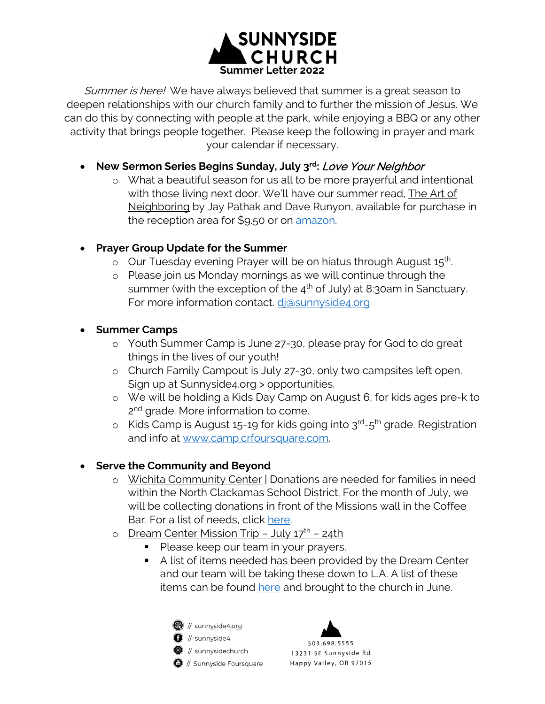

Summer is here! We have always believed that summer is a great season to deepen relationships with our church family and to further the mission of Jesus. We can do this by connecting with people at the park, while enjoying a BBQ or any other activity that brings people together. Please keep the following in prayer and mark your calendar if necessary.

- **New Sermon Series Begins Sunday, July 3rd:** Love Your Neighbor
	- o What a beautiful season for us all to be more prayerful and intentional with those living next door. We'll have our summer read, The Art of Neighboring by Jay Pathak and Dave Runyon, available for purchase in the reception area for \$9.50 or on [amazon.](https://www.amazon.com/Art-Neighboring-Building-Genuine-Relationships/dp/080101459X/ref=sr_1_1?crid=28K5DV9KRVNR8&keywords=art+of+neighboring&qid=1654708040&sprefix=art+of+neighboring%2Caps%2C145&sr=8-1)
- **Prayer Group Update for the Summer**
	- $\circ$  Our Tuesday evening Prayer will be on hiatus through August  $15<sup>th</sup>$ .
	- o Please join us Monday mornings as we will continue through the summer (with the exception of the  $4<sup>th</sup>$  of July) at 8:30am in Sanctuary. For more information contact. di@sunnyside4.org
- **Summer Camps** 
	- o Youth Summer Camp is June 27-30, please pray for God to do great things in the lives of our youth!
	- o Church Family Campout is July 27-30, only two campsites left open. Sign up at Sunnyside4.org > opportunities.
	- o We will be holding a Kids Day Camp on August 6, for kids ages pre-k to 2<sup>nd</sup> grade. More information to come.
	- $\circ$  Kids Camp is August 15-19 for kids going into  $3^{rd}$ -5<sup>th</sup> grade. Registration and info at [www.camp.crfoursquare.com.](http://www.camp.crfoursquare.com/)

## • **Serve the Community and Beyond**

- o Wichita Community Center | Donations are needed for families in need within the North Clackamas School District. For the month of July, we will be collecting donations in front of the Missions wall in the Coffee Bar. For a list of needs, click [here.](https://www.sunnyside4.org/2022/06/09/wichita-center/)
- o Dream Center Mission Trip July 17<sup>th</sup> 24th
	- Please keep our team in your prayers.
	- A list of items needed has been provided by the Dream Center and our team will be taking these down to L.A. A list of these items can be found [here](https://www.sunnyside4.org/2022/06/08/dream-center/) and brought to the church in June.
		- 1 // sunnyside4.org  $\bigcirc$  // sunnyside4  $\bullet$  // sunnysidechurch
		- $\bigcirc$  // Sunnyside Foursquare